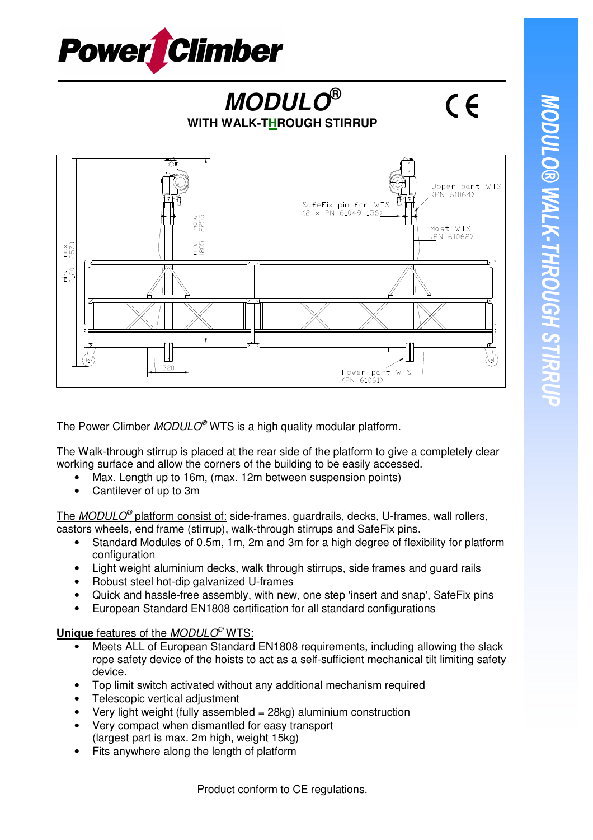

## **MODULO® WITH WALK-THROUGH STIRRUP**



The Power Climber  $MODULO^{\circ}$  WTS is a high quality modular platform.

The Walk-through stirrup is placed at the rear side of the platform to give a completely clear working surface and allow the corners of the building to be easily accessed.

- Max. Length up to 16m, (max. 12m between suspension points)
- Cantilever of up to 3m

The MODULO<sup>®</sup> platform consist of: side-frames, guardrails, decks, U-frames, wall rollers, castors wheels, end frame (stirrup), walk-through stirrups and SafeFix pins.

- Standard Modules of 0.5m, 1m, 2m and 3m for a high degree of flexibility for platform configuration
- Light weight aluminium decks, walk through stirrups, side frames and guard rails
- Robust steel hot-dip galvanized U-frames
- Quick and hassle-free assembly, with new, one step 'insert and snap', SafeFix pins
- European Standard EN1808 certification for all standard configurations

## **Unique** features of the *MODULO<sup>®</sup>* WTS:

- Meets ALL of European Standard EN1808 requirements, including allowing the slack rope safety device of the hoists to act as a self-sufficient mechanical tilt limiting safety device.
- Top limit switch activated without any additional mechanism required
- Telescopic vertical adiustment
- Very light weight (fully assembled  $= 28$ kg) aluminium construction
- Very compact when dismantled for easy transport (largest part is max. 2m high, weight 15kg)
- Fits anywhere along the length of platform

 $\epsilon$